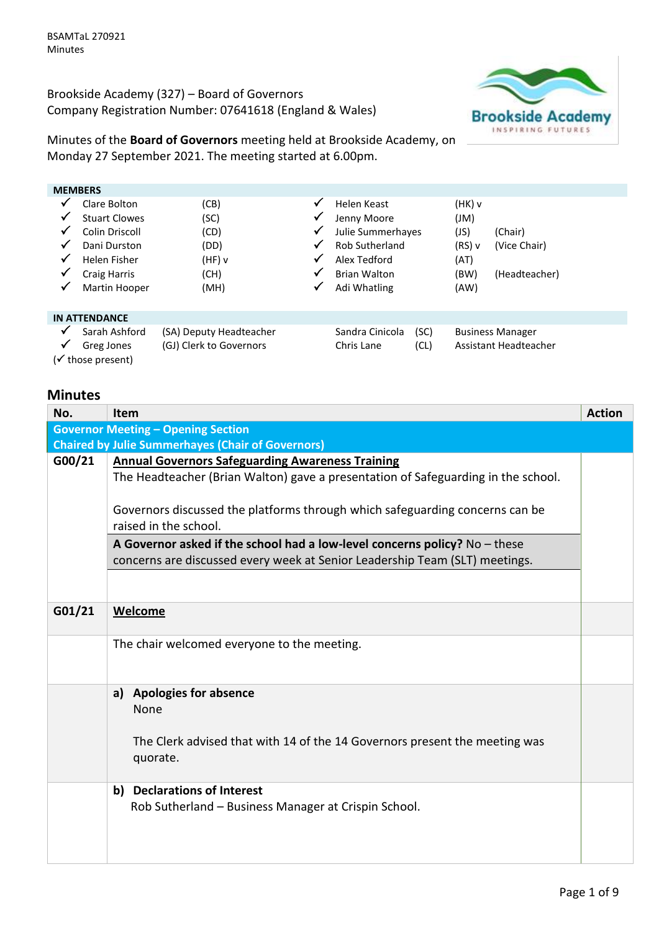Brookside Academy (327) – Board of Governors Company Registration Number: 07641618 (England & Wales)



Minutes of the **Board of Governors** meeting held at Brookside Academy, on Monday 27 September 2021. The meeting started at 6.00pm.

|   | <b>MEMBERS</b>              |                                                    |              |                               |              |        |                                                  |  |
|---|-----------------------------|----------------------------------------------------|--------------|-------------------------------|--------------|--------|--------------------------------------------------|--|
| ✔ | Clare Bolton                | (CB)                                               | ✓            | Helen Keast                   |              | (HK) v |                                                  |  |
| v | <b>Stuart Clowes</b>        | (SC)                                               | ✓            | Jenny Moore                   |              | (M)    |                                                  |  |
|   | Colin Driscoll              | (CD)                                               | ✓            | Julie Summerhayes             |              | (JS)   | (Chair)                                          |  |
|   | Dani Durston                | (DD)                                               | ✓            | Rob Sutherland                |              | (RS) v | (Vice Chair)                                     |  |
| ✔ | Helen Fisher                | $(HF)$ v                                           | $\checkmark$ | Alex Tedford                  |              | (AT)   |                                                  |  |
| ✓ | <b>Craig Harris</b>         | (CH)                                               | ✓            | <b>Brian Walton</b>           |              | (BW)   | (Headteacher)                                    |  |
| ✓ | Martin Hooper               | (MH)                                               | ✓            | Adi Whatling                  |              | (AW)   |                                                  |  |
|   | <b>IN ATTENDANCE</b>        |                                                    |              |                               |              |        |                                                  |  |
| ✓ | Sarah Ashford<br>Greg Jones | (SA) Deputy Headteacher<br>(GJ) Clerk to Governors |              | Sandra Cinicola<br>Chris Lane | (SC)<br>(CL) |        | <b>Business Manager</b><br>Assistant Headteacher |  |
|   | (√ those present)           |                                                    |              |                               |              |        |                                                  |  |

# **Minutes**

| No.    | Item                                                                              | <b>Action</b> |
|--------|-----------------------------------------------------------------------------------|---------------|
|        | <b>Governor Meeting - Opening Section</b>                                         |               |
|        | <b>Chaired by Julie Summerhayes (Chair of Governors)</b>                          |               |
| G00/21 | <b>Annual Governors Safeguarding Awareness Training</b>                           |               |
|        | The Headteacher (Brian Walton) gave a presentation of Safeguarding in the school. |               |
|        |                                                                                   |               |
|        | Governors discussed the platforms through which safeguarding concerns can be      |               |
|        | raised in the school.                                                             |               |
|        | A Governor asked if the school had a low-level concerns policy? $No$ - these      |               |
|        | concerns are discussed every week at Senior Leadership Team (SLT) meetings.       |               |
|        |                                                                                   |               |
|        |                                                                                   |               |
| G01/21 | Welcome                                                                           |               |
|        |                                                                                   |               |
|        | The chair welcomed everyone to the meeting.                                       |               |
|        |                                                                                   |               |
|        | <b>Apologies for absence</b><br>a)                                                |               |
|        | None                                                                              |               |
|        |                                                                                   |               |
|        | The Clerk advised that with 14 of the 14 Governors present the meeting was        |               |
|        | quorate.                                                                          |               |
|        |                                                                                   |               |
|        | b) Declarations of Interest                                                       |               |
|        | Rob Sutherland - Business Manager at Crispin School.                              |               |
|        |                                                                                   |               |
|        |                                                                                   |               |
|        |                                                                                   |               |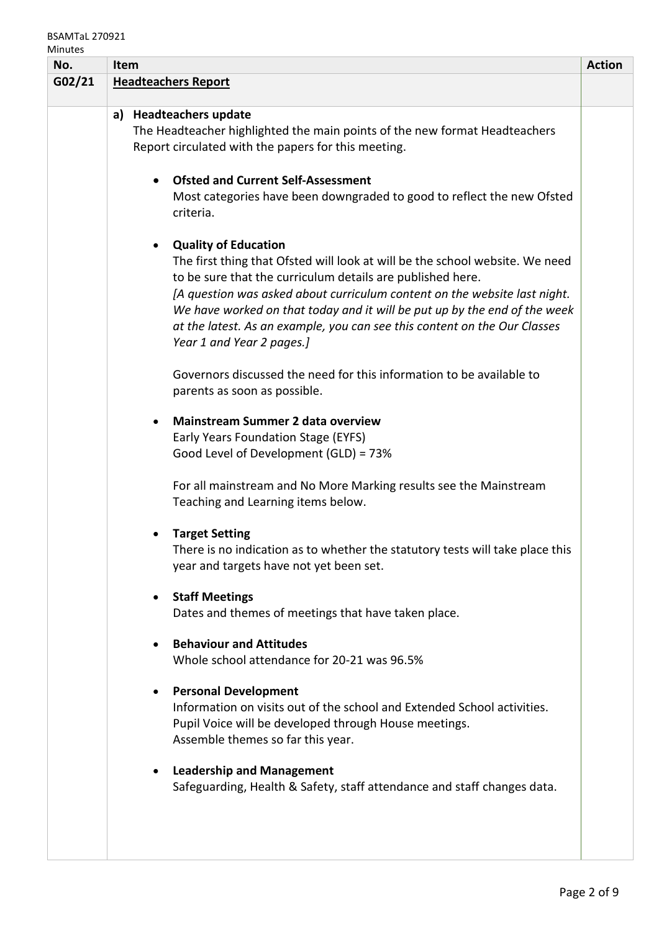# BSAMTaL 270921

| No.    | <b>Item</b>                                                                                                                                                                                                                                                                                                                                                                                                                                   | <b>Action</b> |
|--------|-----------------------------------------------------------------------------------------------------------------------------------------------------------------------------------------------------------------------------------------------------------------------------------------------------------------------------------------------------------------------------------------------------------------------------------------------|---------------|
| G02/21 | <b>Headteachers Report</b>                                                                                                                                                                                                                                                                                                                                                                                                                    |               |
|        | a) Headteachers update<br>The Headteacher highlighted the main points of the new format Headteachers<br>Report circulated with the papers for this meeting.                                                                                                                                                                                                                                                                                   |               |
|        | <b>Ofsted and Current Self-Assessment</b><br>Most categories have been downgraded to good to reflect the new Ofsted<br>criteria.                                                                                                                                                                                                                                                                                                              |               |
|        | <b>Quality of Education</b><br>The first thing that Ofsted will look at will be the school website. We need<br>to be sure that the curriculum details are published here.<br>[A question was asked about curriculum content on the website last night.<br>We have worked on that today and it will be put up by the end of the week<br>at the latest. As an example, you can see this content on the Our Classes<br>Year 1 and Year 2 pages.] |               |
|        | Governors discussed the need for this information to be available to<br>parents as soon as possible.                                                                                                                                                                                                                                                                                                                                          |               |
|        | <b>Mainstream Summer 2 data overview</b><br>Early Years Foundation Stage (EYFS)<br>Good Level of Development (GLD) = 73%                                                                                                                                                                                                                                                                                                                      |               |
|        | For all mainstream and No More Marking results see the Mainstream<br>Teaching and Learning items below.                                                                                                                                                                                                                                                                                                                                       |               |
|        | <b>Target Setting</b><br>There is no indication as to whether the statutory tests will take place this<br>year and targets have not yet been set.                                                                                                                                                                                                                                                                                             |               |
|        | <b>Staff Meetings</b><br>Dates and themes of meetings that have taken place.                                                                                                                                                                                                                                                                                                                                                                  |               |
|        | <b>Behaviour and Attitudes</b><br>Whole school attendance for 20-21 was 96.5%                                                                                                                                                                                                                                                                                                                                                                 |               |
|        | <b>Personal Development</b><br>Information on visits out of the school and Extended School activities.<br>Pupil Voice will be developed through House meetings.<br>Assemble themes so far this year.                                                                                                                                                                                                                                          |               |
|        | <b>Leadership and Management</b><br>Safeguarding, Health & Safety, staff attendance and staff changes data.                                                                                                                                                                                                                                                                                                                                   |               |
|        |                                                                                                                                                                                                                                                                                                                                                                                                                                               |               |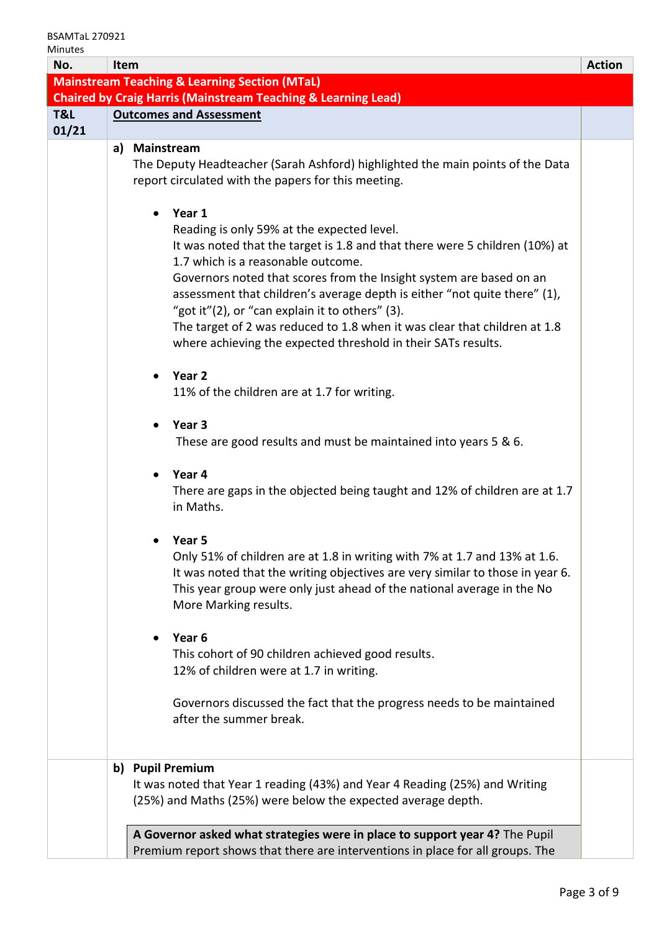| ៴៲៲៲៲៶៲៶៰<br>No. | Item                                                                                                                                                                                                                                                                                                                                                                                                                                                                                                                                                                                                                                                                                                                                                                                            | <b>Action</b> |  |  |
|------------------|-------------------------------------------------------------------------------------------------------------------------------------------------------------------------------------------------------------------------------------------------------------------------------------------------------------------------------------------------------------------------------------------------------------------------------------------------------------------------------------------------------------------------------------------------------------------------------------------------------------------------------------------------------------------------------------------------------------------------------------------------------------------------------------------------|---------------|--|--|
|                  | <b>Mainstream Teaching &amp; Learning Section (MTaL)</b>                                                                                                                                                                                                                                                                                                                                                                                                                                                                                                                                                                                                                                                                                                                                        |               |  |  |
|                  | <b>Chaired by Craig Harris (Mainstream Teaching &amp; Learning Lead)</b>                                                                                                                                                                                                                                                                                                                                                                                                                                                                                                                                                                                                                                                                                                                        |               |  |  |
| T&L<br>01/21     | <b>Outcomes and Assessment</b>                                                                                                                                                                                                                                                                                                                                                                                                                                                                                                                                                                                                                                                                                                                                                                  |               |  |  |
|                  | <b>Mainstream</b><br>a)                                                                                                                                                                                                                                                                                                                                                                                                                                                                                                                                                                                                                                                                                                                                                                         |               |  |  |
|                  | The Deputy Headteacher (Sarah Ashford) highlighted the main points of the Data<br>report circulated with the papers for this meeting.                                                                                                                                                                                                                                                                                                                                                                                                                                                                                                                                                                                                                                                           |               |  |  |
|                  | Year 1<br>Reading is only 59% at the expected level.<br>It was noted that the target is 1.8 and that there were 5 children (10%) at<br>1.7 which is a reasonable outcome.<br>Governors noted that scores from the Insight system are based on an<br>assessment that children's average depth is either "not quite there" (1),<br>"got it"(2), or "can explain it to others" (3).<br>The target of 2 was reduced to 1.8 when it was clear that children at 1.8<br>where achieving the expected threshold in their SATs results.<br>Year <sub>2</sub><br>11% of the children are at 1.7 for writing.<br>Year <sub>3</sub><br>These are good results and must be maintained into years 5 & 6.<br>Year 4<br>There are gaps in the objected being taught and 12% of children are at 1.7<br>in Maths. |               |  |  |
|                  | Year 5<br>Only 51% of children are at 1.8 in writing with 7% at 1.7 and 13% at 1.6.<br>It was noted that the writing objectives are very similar to those in year 6.<br>This year group were only just ahead of the national average in the No<br>More Marking results.                                                                                                                                                                                                                                                                                                                                                                                                                                                                                                                         |               |  |  |
|                  | Year <sub>6</sub><br>This cohort of 90 children achieved good results.<br>12% of children were at 1.7 in writing.                                                                                                                                                                                                                                                                                                                                                                                                                                                                                                                                                                                                                                                                               |               |  |  |
|                  | Governors discussed the fact that the progress needs to be maintained<br>after the summer break.                                                                                                                                                                                                                                                                                                                                                                                                                                                                                                                                                                                                                                                                                                |               |  |  |
|                  | <b>Pupil Premium</b><br>b)<br>It was noted that Year 1 reading (43%) and Year 4 Reading (25%) and Writing<br>(25%) and Maths (25%) were below the expected average depth.                                                                                                                                                                                                                                                                                                                                                                                                                                                                                                                                                                                                                       |               |  |  |
|                  | A Governor asked what strategies were in place to support year 4? The Pupil<br>Premium report shows that there are interventions in place for all groups. The                                                                                                                                                                                                                                                                                                                                                                                                                                                                                                                                                                                                                                   |               |  |  |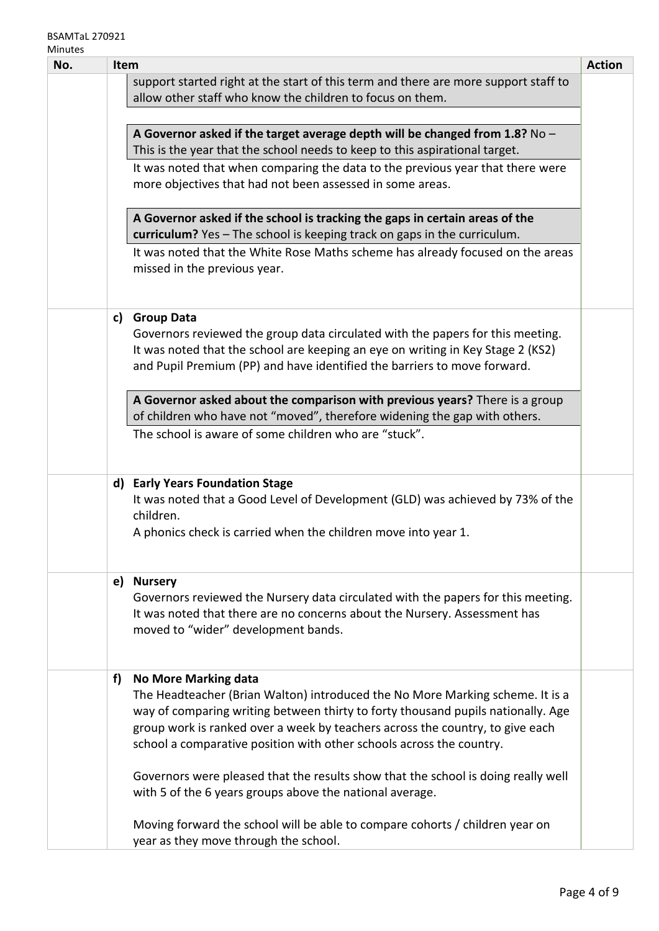#### BSAMTaL 270921 Minutes

| No. | Item                                                                                |                                                                                                                       | <b>Action</b> |
|-----|-------------------------------------------------------------------------------------|-----------------------------------------------------------------------------------------------------------------------|---------------|
|     | support started right at the start of this term and there are more support staff to |                                                                                                                       |               |
|     |                                                                                     | allow other staff who know the children to focus on them.                                                             |               |
|     |                                                                                     |                                                                                                                       |               |
|     |                                                                                     | A Governor asked if the target average depth will be changed from 1.8? $No -$                                         |               |
|     |                                                                                     | This is the year that the school needs to keep to this aspirational target.                                           |               |
|     |                                                                                     | It was noted that when comparing the data to the previous year that there were                                        |               |
|     |                                                                                     | more objectives that had not been assessed in some areas.                                                             |               |
|     |                                                                                     |                                                                                                                       |               |
|     |                                                                                     | A Governor asked if the school is tracking the gaps in certain areas of the                                           |               |
|     |                                                                                     | curriculum? Yes - The school is keeping track on gaps in the curriculum.                                              |               |
|     |                                                                                     | It was noted that the White Rose Maths scheme has already focused on the areas                                        |               |
|     |                                                                                     | missed in the previous year.                                                                                          |               |
|     |                                                                                     |                                                                                                                       |               |
|     | c)                                                                                  | <b>Group Data</b>                                                                                                     |               |
|     |                                                                                     | Governors reviewed the group data circulated with the papers for this meeting.                                        |               |
|     |                                                                                     | It was noted that the school are keeping an eye on writing in Key Stage 2 (KS2)                                       |               |
|     |                                                                                     | and Pupil Premium (PP) and have identified the barriers to move forward.                                              |               |
|     |                                                                                     |                                                                                                                       |               |
|     |                                                                                     | A Governor asked about the comparison with previous years? There is a group                                           |               |
|     |                                                                                     | of children who have not "moved", therefore widening the gap with others.                                             |               |
|     |                                                                                     | The school is aware of some children who are "stuck".                                                                 |               |
|     |                                                                                     |                                                                                                                       |               |
|     |                                                                                     |                                                                                                                       |               |
|     |                                                                                     | d) Early Years Foundation Stage                                                                                       |               |
|     |                                                                                     | It was noted that a Good Level of Development (GLD) was achieved by 73% of the                                        |               |
|     |                                                                                     | children.                                                                                                             |               |
|     |                                                                                     | A phonics check is carried when the children move into year 1.                                                        |               |
|     |                                                                                     |                                                                                                                       |               |
|     |                                                                                     | e) Nursery                                                                                                            |               |
|     |                                                                                     | Governors reviewed the Nursery data circulated with the papers for this meeting.                                      |               |
|     |                                                                                     | It was noted that there are no concerns about the Nursery. Assessment has                                             |               |
|     |                                                                                     | moved to "wider" development bands.                                                                                   |               |
|     |                                                                                     |                                                                                                                       |               |
|     |                                                                                     |                                                                                                                       |               |
|     | f)                                                                                  | <b>No More Marking data</b>                                                                                           |               |
|     |                                                                                     | The Headteacher (Brian Walton) introduced the No More Marking scheme. It is a                                         |               |
|     |                                                                                     | way of comparing writing between thirty to forty thousand pupils nationally. Age                                      |               |
|     |                                                                                     | group work is ranked over a week by teachers across the country, to give each                                         |               |
|     |                                                                                     | school a comparative position with other schools across the country.                                                  |               |
|     |                                                                                     |                                                                                                                       |               |
|     |                                                                                     | Governors were pleased that the results show that the school is doing really well                                     |               |
|     |                                                                                     | with 5 of the 6 years groups above the national average.                                                              |               |
|     |                                                                                     |                                                                                                                       |               |
|     |                                                                                     | Moving forward the school will be able to compare cohorts / children year on<br>year as they move through the school. |               |
|     |                                                                                     |                                                                                                                       |               |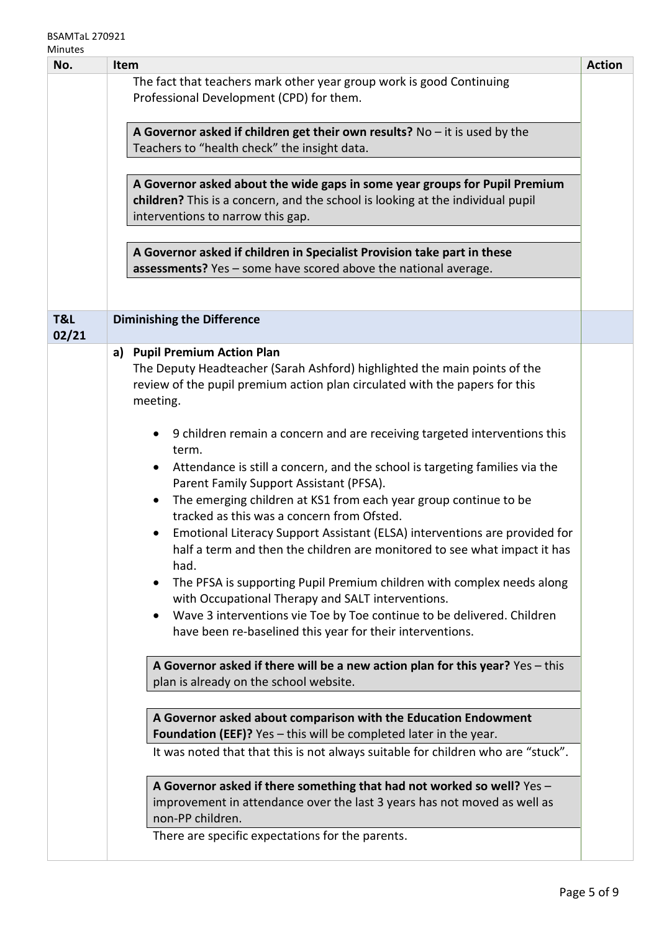#### BSAMTaL 270921 Minutes

| No.          | <b>Item</b>                                                                                                                  | <b>Action</b> |  |  |
|--------------|------------------------------------------------------------------------------------------------------------------------------|---------------|--|--|
|              | The fact that teachers mark other year group work is good Continuing                                                         |               |  |  |
|              | Professional Development (CPD) for them.                                                                                     |               |  |  |
|              |                                                                                                                              |               |  |  |
|              | A Governor asked if children get their own results? No $-$ it is used by the<br>Teachers to "health check" the insight data. |               |  |  |
|              |                                                                                                                              |               |  |  |
|              |                                                                                                                              |               |  |  |
|              | A Governor asked about the wide gaps in some year groups for Pupil Premium                                                   |               |  |  |
|              | children? This is a concern, and the school is looking at the individual pupil<br>interventions to narrow this gap.          |               |  |  |
|              |                                                                                                                              |               |  |  |
|              | A Governor asked if children in Specialist Provision take part in these                                                      |               |  |  |
|              | assessments? Yes - some have scored above the national average.                                                              |               |  |  |
|              |                                                                                                                              |               |  |  |
|              |                                                                                                                              |               |  |  |
| T&L<br>02/21 | <b>Diminishing the Difference</b>                                                                                            |               |  |  |
|              | <b>Pupil Premium Action Plan</b><br>a)                                                                                       |               |  |  |
|              | The Deputy Headteacher (Sarah Ashford) highlighted the main points of the                                                    |               |  |  |
|              | review of the pupil premium action plan circulated with the papers for this                                                  |               |  |  |
|              | meeting.                                                                                                                     |               |  |  |
|              | 9 children remain a concern and are receiving targeted interventions this                                                    |               |  |  |
|              | term.                                                                                                                        |               |  |  |
|              | Attendance is still a concern, and the school is targeting families via the                                                  |               |  |  |
|              | Parent Family Support Assistant (PFSA).                                                                                      |               |  |  |
|              | The emerging children at KS1 from each year group continue to be                                                             |               |  |  |
|              | tracked as this was a concern from Ofsted.                                                                                   |               |  |  |
|              | Emotional Literacy Support Assistant (ELSA) interventions are provided for<br>$\bullet$                                      |               |  |  |
|              | half a term and then the children are monitored to see what impact it has<br>had.                                            |               |  |  |
|              | The PFSA is supporting Pupil Premium children with complex needs along                                                       |               |  |  |
|              | with Occupational Therapy and SALT interventions.                                                                            |               |  |  |
|              | Wave 3 interventions vie Toe by Toe continue to be delivered. Children                                                       |               |  |  |
|              | have been re-baselined this year for their interventions.                                                                    |               |  |  |
|              |                                                                                                                              |               |  |  |
|              | A Governor asked if there will be a new action plan for this year? Yes - this                                                |               |  |  |
|              | plan is already on the school website.                                                                                       |               |  |  |
|              |                                                                                                                              |               |  |  |
|              | A Governor asked about comparison with the Education Endowment                                                               |               |  |  |
|              | Foundation (EEF)? Yes - this will be completed later in the year.                                                            |               |  |  |
|              | It was noted that that this is not always suitable for children who are "stuck".                                             |               |  |  |
|              | A Governor asked if there something that had not worked so well? Yes -                                                       |               |  |  |
|              | improvement in attendance over the last 3 years has not moved as well as                                                     |               |  |  |
|              | non-PP children.                                                                                                             |               |  |  |
|              | There are specific expectations for the parents.                                                                             |               |  |  |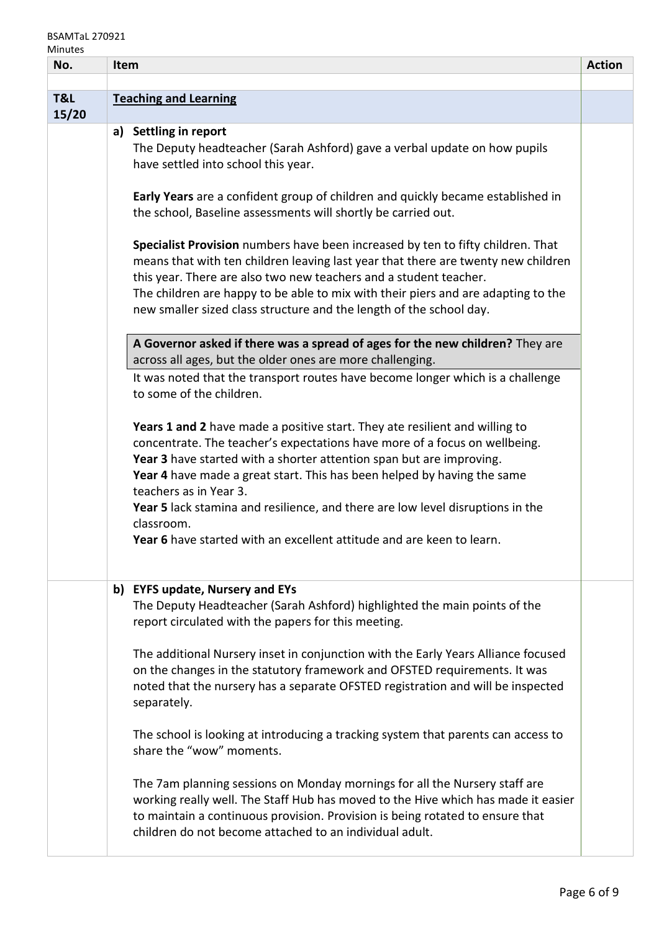### BSAMTaL 270921

| No.   | Item                                                                                                                                                     | <b>Action</b> |
|-------|----------------------------------------------------------------------------------------------------------------------------------------------------------|---------------|
|       |                                                                                                                                                          |               |
| T&L   | <b>Teaching and Learning</b>                                                                                                                             |               |
| 15/20 |                                                                                                                                                          |               |
|       | a) Settling in report                                                                                                                                    |               |
|       | The Deputy headteacher (Sarah Ashford) gave a verbal update on how pupils<br>have settled into school this year.                                         |               |
|       |                                                                                                                                                          |               |
|       | Early Years are a confident group of children and quickly became established in                                                                          |               |
|       | the school, Baseline assessments will shortly be carried out.                                                                                            |               |
|       |                                                                                                                                                          |               |
|       | Specialist Provision numbers have been increased by ten to fifty children. That                                                                          |               |
|       | means that with ten children leaving last year that there are twenty new children                                                                        |               |
|       | this year. There are also two new teachers and a student teacher.                                                                                        |               |
|       | The children are happy to be able to mix with their piers and are adapting to the<br>new smaller sized class structure and the length of the school day. |               |
|       |                                                                                                                                                          |               |
|       | A Governor asked if there was a spread of ages for the new children? They are                                                                            |               |
|       | across all ages, but the older ones are more challenging.                                                                                                |               |
|       | It was noted that the transport routes have become longer which is a challenge                                                                           |               |
|       | to some of the children.                                                                                                                                 |               |
|       |                                                                                                                                                          |               |
|       | Years 1 and 2 have made a positive start. They ate resilient and willing to                                                                              |               |
|       | concentrate. The teacher's expectations have more of a focus on wellbeing.                                                                               |               |
|       | Year 3 have started with a shorter attention span but are improving.<br>Year 4 have made a great start. This has been helped by having the same          |               |
|       | teachers as in Year 3.                                                                                                                                   |               |
|       | Year 5 lack stamina and resilience, and there are low level disruptions in the                                                                           |               |
|       | classroom.                                                                                                                                               |               |
|       | Year 6 have started with an excellent attitude and are keen to learn                                                                                     |               |
|       |                                                                                                                                                          |               |
|       |                                                                                                                                                          |               |
|       | b) EYFS update, Nursery and EYs<br>The Deputy Headteacher (Sarah Ashford) highlighted the main points of the                                             |               |
|       | report circulated with the papers for this meeting.                                                                                                      |               |
|       |                                                                                                                                                          |               |
|       | The additional Nursery inset in conjunction with the Early Years Alliance focused                                                                        |               |
|       | on the changes in the statutory framework and OFSTED requirements. It was                                                                                |               |
|       | noted that the nursery has a separate OFSTED registration and will be inspected                                                                          |               |
|       | separately.                                                                                                                                              |               |
|       | The school is looking at introducing a tracking system that parents can access to                                                                        |               |
|       | share the "wow" moments.                                                                                                                                 |               |
|       |                                                                                                                                                          |               |
|       | The 7am planning sessions on Monday mornings for all the Nursery staff are                                                                               |               |
|       | working really well. The Staff Hub has moved to the Hive which has made it easier                                                                        |               |
|       | to maintain a continuous provision. Provision is being rotated to ensure that                                                                            |               |
|       | children do not become attached to an individual adult.                                                                                                  |               |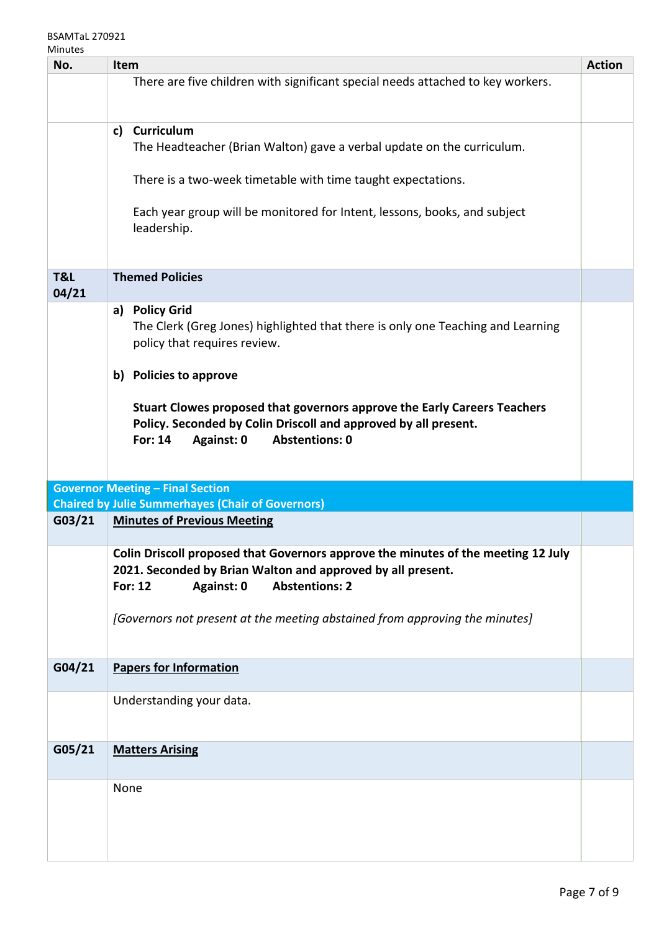| No.          | Item                                                                                                                                                                                                 | <b>Action</b> |
|--------------|------------------------------------------------------------------------------------------------------------------------------------------------------------------------------------------------------|---------------|
|              | There are five children with significant special needs attached to key workers.                                                                                                                      |               |
|              | Curriculum<br>c)<br>The Headteacher (Brian Walton) gave a verbal update on the curriculum.                                                                                                           |               |
|              | There is a two-week timetable with time taught expectations.                                                                                                                                         |               |
|              | Each year group will be monitored for Intent, lessons, books, and subject<br>leadership.                                                                                                             |               |
| T&L<br>04/21 | <b>Themed Policies</b>                                                                                                                                                                               |               |
|              | a) Policy Grid<br>The Clerk (Greg Jones) highlighted that there is only one Teaching and Learning<br>policy that requires review.                                                                    |               |
|              | b) Policies to approve                                                                                                                                                                               |               |
|              | Stuart Clowes proposed that governors approve the Early Careers Teachers<br>Policy. Seconded by Colin Driscoll and approved by all present.<br>For: 14<br><b>Abstentions: 0</b><br><b>Against: 0</b> |               |
|              | <b>Governor Meeting - Final Section</b>                                                                                                                                                              |               |
|              | <b>Chaired by Julie Summerhayes (Chair of Governors)</b>                                                                                                                                             |               |
| G03/21       | <b>Minutes of Previous Meeting</b>                                                                                                                                                                   |               |
|              | Colin Driscoll proposed that Governors approve the minutes of the meeting 12 July<br>2021. Seconded by Brian Walton and approved by all present.<br><b>Abstentions: 2</b><br>For: 12<br>Against: 0   |               |
|              | [Governors not present at the meeting abstained from approving the minutes]                                                                                                                          |               |
| G04/21       | <b>Papers for Information</b>                                                                                                                                                                        |               |
|              | Understanding your data.                                                                                                                                                                             |               |
| G05/21       | <b>Matters Arising</b>                                                                                                                                                                               |               |
|              | None                                                                                                                                                                                                 |               |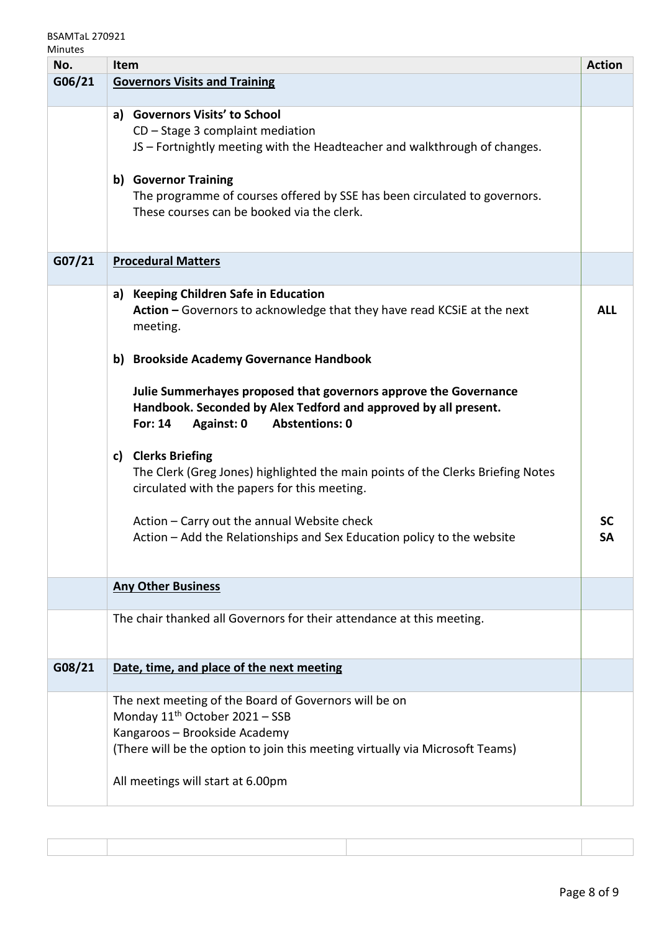## BSAMTaL 270921

| No.    | Item                                                                            | <b>Action</b> |
|--------|---------------------------------------------------------------------------------|---------------|
| G06/21 | <b>Governors Visits and Training</b>                                            |               |
|        |                                                                                 |               |
|        | a) Governors Visits' to School                                                  |               |
|        | $CD - Stage 3$ complaint mediation                                              |               |
|        | JS - Fortnightly meeting with the Headteacher and walkthrough of changes.       |               |
|        |                                                                                 |               |
|        | b) Governor Training                                                            |               |
|        | The programme of courses offered by SSE has been circulated to governors.       |               |
|        | These courses can be booked via the clerk.                                      |               |
|        |                                                                                 |               |
| G07/21 | <b>Procedural Matters</b>                                                       |               |
|        |                                                                                 |               |
|        | a) Keeping Children Safe in Education                                           |               |
|        | Action - Governors to acknowledge that they have read KCSiE at the next         | <b>ALL</b>    |
|        | meeting.                                                                        |               |
|        |                                                                                 |               |
|        | b) Brookside Academy Governance Handbook                                        |               |
|        |                                                                                 |               |
|        | Julie Summerhayes proposed that governors approve the Governance                |               |
|        | Handbook. Seconded by Alex Tedford and approved by all present.                 |               |
|        | For: 14<br>Against: 0<br><b>Abstentions: 0</b>                                  |               |
|        |                                                                                 |               |
|        | c) Clerks Briefing                                                              |               |
|        | The Clerk (Greg Jones) highlighted the main points of the Clerks Briefing Notes |               |
|        | circulated with the papers for this meeting.                                    |               |
|        | Action - Carry out the annual Website check                                     | <b>SC</b>     |
|        | Action - Add the Relationships and Sex Education policy to the website          | <b>SA</b>     |
|        |                                                                                 |               |
|        |                                                                                 |               |
|        | <b>Any Other Business</b>                                                       |               |
|        |                                                                                 |               |
|        | The chair thanked all Governors for their attendance at this meeting.           |               |
|        |                                                                                 |               |
|        |                                                                                 |               |
| G08/21 | Date, time, and place of the next meeting                                       |               |
|        | The next meeting of the Board of Governors will be on                           |               |
|        | Monday 11 <sup>th</sup> October 2021 - SSB                                      |               |
|        | Kangaroos - Brookside Academy                                                   |               |
|        | (There will be the option to join this meeting virtually via Microsoft Teams)   |               |
|        |                                                                                 |               |
|        | All meetings will start at 6.00pm                                               |               |
|        |                                                                                 |               |